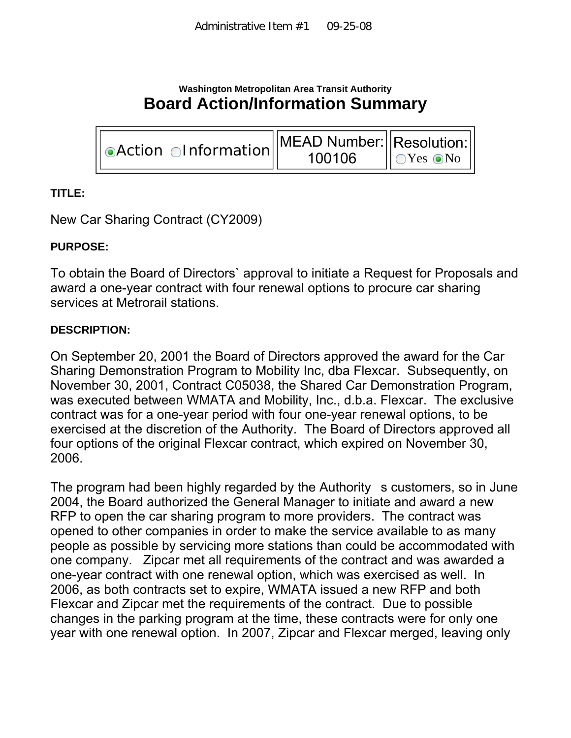# **Washington Metropolitan Area Transit Authority Board Action/Information Summary**

| $\ \odot\text{Action}\odot\text{Information}\ $ | $  $ MEAD Number: $  $ Resolution: $  $<br>100106 | $\bigcup$ $Yes$ $\odot$ $No$ |
|-------------------------------------------------|---------------------------------------------------|------------------------------|
|-------------------------------------------------|---------------------------------------------------|------------------------------|

## **TITLE:**

New Car Sharing Contract (CY2009)

## **PURPOSE:**

To obtain the Board of Directors` approval to initiate a Request for Proposals and award a one-year contract with four renewal options to procure car sharing services at Metrorail stations.

#### **DESCRIPTION:**

On September 20, 2001 the Board of Directors approved the award for the Car Sharing Demonstration Program to Mobility Inc, dba Flexcar. Subsequently, on November 30, 2001, Contract C05038, the Shared Car Demonstration Program, was executed between WMATA and Mobility, Inc., d.b.a. Flexcar. The exclusive contract was for a one-year period with four one-year renewal options, to be exercised at the discretion of the Authority. The Board of Directors approved all four options of the original Flexcar contract, which expired on November 30, 2006.

The program had been highly regarded by the Authority s customers, so in June 2004, the Board authorized the General Manager to initiate and award a new RFP to open the car sharing program to more providers. The contract was opened to other companies in order to make the service available to as many people as possible by servicing more stations than could be accommodated with one company. Zipcar met all requirements of the contract and was awarded a one-year contract with one renewal option, which was exercised as well. In 2006, as both contracts set to expire, WMATA issued a new RFP and both Flexcar and Zipcar met the requirements of the contract. Due to possible changes in the parking program at the time, these contracts were for only one year with one renewal option. In 2007, Zipcar and Flexcar merged, leaving only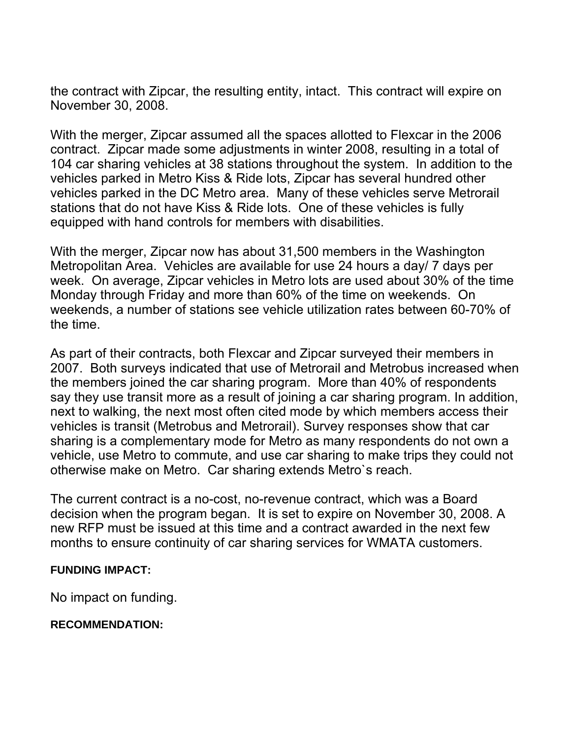the contract with Zipcar, the resulting entity, intact. This contract will expire on November 30, 2008.

With the merger, Zipcar assumed all the spaces allotted to Flexcar in the 2006 contract. Zipcar made some adjustments in winter 2008, resulting in a total of 104 car sharing vehicles at 38 stations throughout the system. In addition to the vehicles parked in Metro Kiss & Ride lots, Zipcar has several hundred other vehicles parked in the DC Metro area. Many of these vehicles serve Metrorail stations that do not have Kiss & Ride lots. One of these vehicles is fully equipped with hand controls for members with disabilities.

With the merger, Zipcar now has about 31,500 members in the Washington Metropolitan Area. Vehicles are available for use 24 hours a day/ 7 days per week. On average, Zipcar vehicles in Metro lots are used about 30% of the time Monday through Friday and more than 60% of the time on weekends. On weekends, a number of stations see vehicle utilization rates between 60-70% of the time.

As part of their contracts, both Flexcar and Zipcar surveyed their members in 2007. Both surveys indicated that use of Metrorail and Metrobus increased when the members joined the car sharing program. More than 40% of respondents say they use transit more as a result of joining a car sharing program. In addition, next to walking, the next most often cited mode by which members access their vehicles is transit (Metrobus and Metrorail). Survey responses show that car sharing is a complementary mode for Metro as many respondents do not own a vehicle, use Metro to commute, and use car sharing to make trips they could not otherwise make on Metro. Car sharing extends Metro`s reach.

The current contract is a no-cost, no-revenue contract, which was a Board decision when the program began. It is set to expire on November 30, 2008. A new RFP must be issued at this time and a contract awarded in the next few months to ensure continuity of car sharing services for WMATA customers.

#### **FUNDING IMPACT:**

No impact on funding.

#### **RECOMMENDATION:**